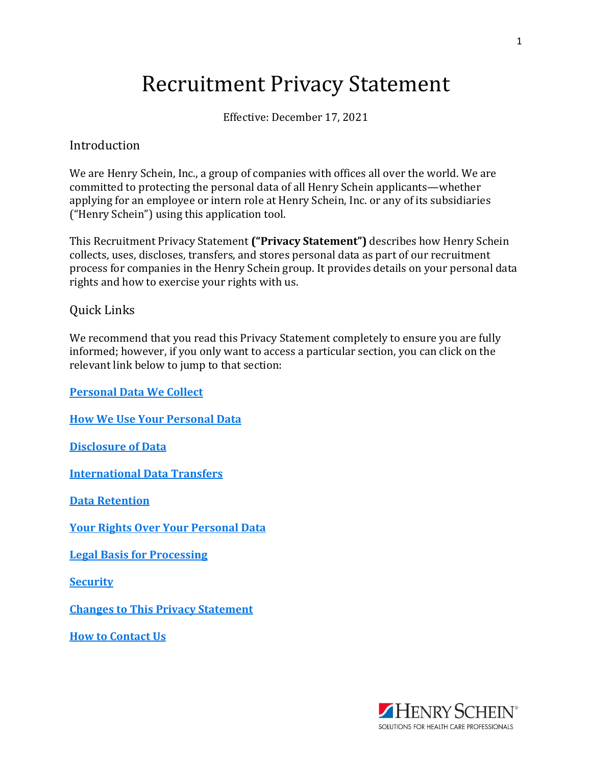# Recruitment Privacy Statement

Effective: December 17, 2021

#### Introduction

We are Henry Schein, Inc., a group of companies with offices all over the world. We are committed to protecting the personal data of all Henry Schein applicants—whether applying for an employee or intern role at Henry Schein, Inc. or any of its subsidiaries ("Henry Schein") using this application tool.

This Recruitment Privacy Statement **("Privacy Statement")** describes how Henry Schein collects, uses, discloses, transfers, and stores personal data as part of our recruitment process for companies in the Henry Schein group. It provides details on your personal data rights and how to exercise your rights with us.

#### Quick Links

We recommend that you read this Privacy Statement completely to ensure you are fully informed; however, if you only want to access a particular section, you can click on the relevant link below to jump to that section:

**[Personal](#page-1-0) Data We Collect**

**How We Use Your [Personal](#page-2-0) Data**

**[Disclosure](#page-3-0) of Data**

**[International](#page-4-0) Data Transfers**

**Data [Retention](#page-4-0)**

**Your Rights Over Your [Personal](#page-4-0) Data**

**Legal Basis for [Processing](#page-5-0)**

**[Security](#page-5-0)**

**Changes to This Privacy [Statement](#page-6-0)**

**How to [Contact](#page-6-0) Us**

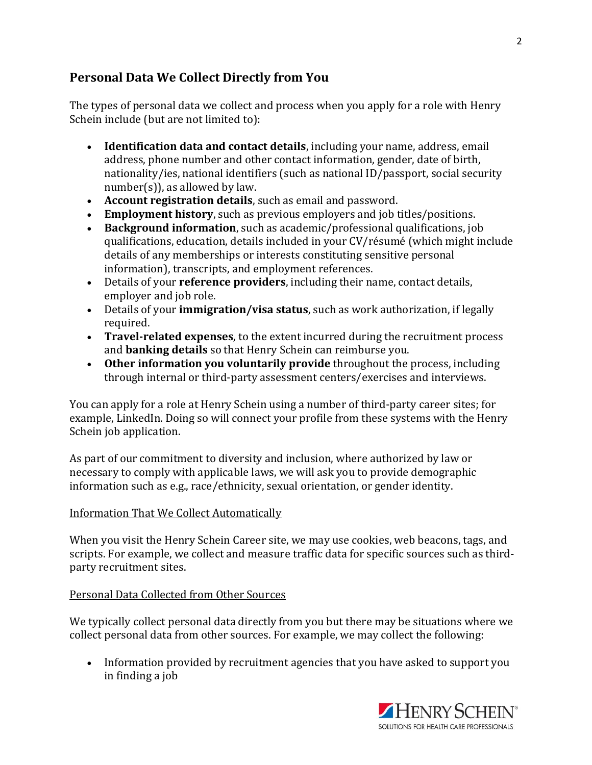## <span id="page-1-0"></span>**Personal Data We Collect Directly from You**

The types of personal data we collect and process when you apply for a role with Henry Schein include (but are not limited to):

- **Identification data and contact details**, including your name, address, email address, phone number and other contact information, gender, date of birth, nationality/ies, national identifiers (such as national ID/passport, social security number(s)), as allowed by law.
- **Account registration details**, such as email and password.
- **Employment history**, such as previous employers and job titles/positions.
- **Background information**, such as academic/professional qualifications, job qualifications, education, details included in your CV/résumé (which might include details of any memberships or interests constituting sensitive personal information), transcripts, and employment references.
- Details of your **reference providers**, including their name, contact details, employer and job role.
- Details of your **immigration/visa status**, such as work authorization, if legally required.
- **Travel-related expenses**, to the extent incurred during the recruitment process and **banking details** so that Henry Schein can reimburse you.
- **Other information you voluntarily provide** throughout the process, including through internal or third-party assessment centers/exercises and interviews.

You can apply for a role at Henry Schein using a number of third-party career sites; for example, LinkedIn. Doing so will connect your profile from these systems with the Henry Schein job application.

As part of our commitment to diversity and inclusion, where authorized by law or necessary to comply with applicable laws, we will ask you to provide demographic information such as e.g., race/ethnicity, sexual orientation, or gender identity.

#### Information That We Collect Automatically

When you visit the Henry Schein Career site, we may use cookies, web beacons, tags, and scripts. For example, we collect and measure traffic data for specific sources such as thirdparty recruitment sites.

#### Personal Data Collected from Other Sources

We typically collect personal data directly from you but there may be situations where we collect personal data from other sources. For example, we may collect the following:

• Information provided by recruitment agencies that you have asked to support you in finding a job

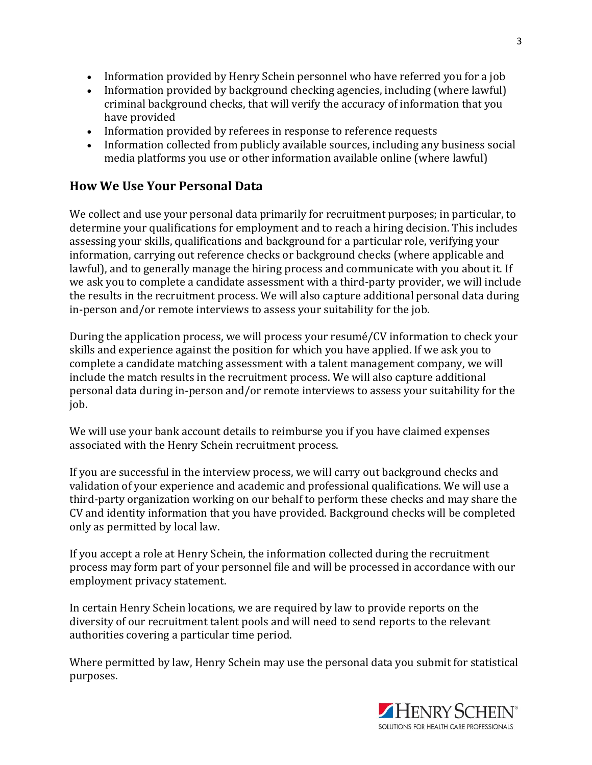- <span id="page-2-0"></span>• Information provided by Henry Schein personnel who have referred you for a job
- Information provided by background checking agencies, including (where lawful) criminal background checks, that will verify the accuracy of information that you have provided
- Information provided by referees in response to reference requests
- Information collected from publicly available sources, including any business social media platforms you use or other information available online (where lawful)

### **How We Use Your Personal Data**

We collect and use your personal data primarily for recruitment purposes; in particular, to determine your qualifications for employment and to reach a hiring decision. This includes assessing your skills, qualifications and background for a particular role, verifying your information, carrying out reference checks or background checks (where applicable and lawful), and to generally manage the hiring process and communicate with you about it. If we ask you to complete a candidate assessment with a third-party provider, we will include the results in the recruitment process. We will also capture additional personal data during in-person and/or remote interviews to assess your suitability for the job.

During the application process, we will process your resumé/CV information to check your skills and experience against the position for which you have applied. If we ask you to complete a candidate matching assessment with a talent management company, we will include the match results in the recruitment process. We will also capture additional personal data during in-person and/or remote interviews to assess your suitability for the job.

We will use your bank account details to reimburse you if you have claimed expenses associated with the Henry Schein recruitment process.

If you are successful in the interview process, we will carry out background checks and validation of your experience and academic and professional qualifications. We will use a third-party organization working on our behalf to perform these checks and may share the CV and identity information that you have provided. Background checks will be completed only as permitted by local law.

If you accept a role at Henry Schein, the information collected during the recruitment process may form part of your personnel file and will be processed in accordance with our employment privacy statement.

In certain Henry Schein locations, we are required by law to provide reports on the diversity of our recruitment talent pools and will need to send reports to the relevant authorities covering a particular time period.

Where permitted by law, Henry Schein may use the personal data you submit for statistical purposes.

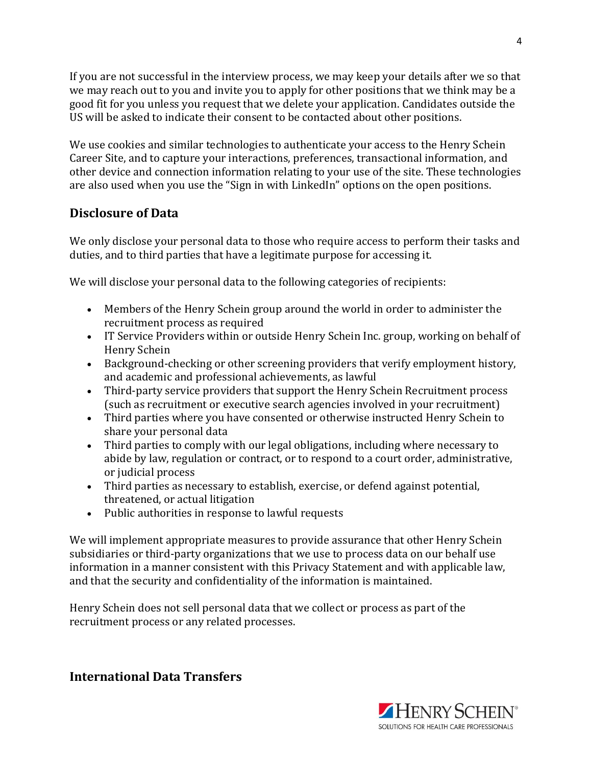<span id="page-3-0"></span>If you are not successful in the interview process, we may keep your details after we so that we may reach out to you and invite you to apply for other positions that we think may be a good fit for you unless you request that we delete your application. Candidates outside the US will be asked to indicate their consent to be contacted about other positions.

We use cookies and similar technologies to authenticate your access to the Henry Schein Career Site, and to capture your interactions, preferences, transactional information, and other device and connection information relating to your use of the site. These technologies are also used when you use the "Sign in with LinkedIn" options on the open positions.

## **Disclosure of Data**

We only disclose your personal data to those who require access to perform their tasks and duties, and to third parties that have a legitimate purpose for accessing it.

We will disclose your personal data to the following categories of recipients:

- Members of the Henry Schein group around the world in order to administer the recruitment process as required
- IT Service Providers within or outside Henry Schein Inc. group, working on behalf of Henry Schein
- Background-checking or other screening providers that verify employment history, and academic and professional achievements, as lawful
- Third-party service providers that support the Henry Schein Recruitment process (such as recruitment or executive search agencies involved in your recruitment)
- Third parties where you have consented or otherwise instructed Henry Schein to share your personal data
- Third parties to comply with our legal obligations, including where necessary to abide by law, regulation or contract, or to respond to a court order, administrative, or judicial process
- Third parties as necessary to establish, exercise, or defend against potential, threatened, or actual litigation
- Public authorities in response to lawful requests

We will implement appropriate measures to provide assurance that other Henry Schein subsidiaries or third-party organizations that we use to process data on our behalf use information in a manner consistent with this Privacy Statement and with applicable law, and that the security and confidentiality of the information is maintained.

Henry Schein does not sell personal data that we collect or process as part of the recruitment process or any related processes.

**International Data Transfers**

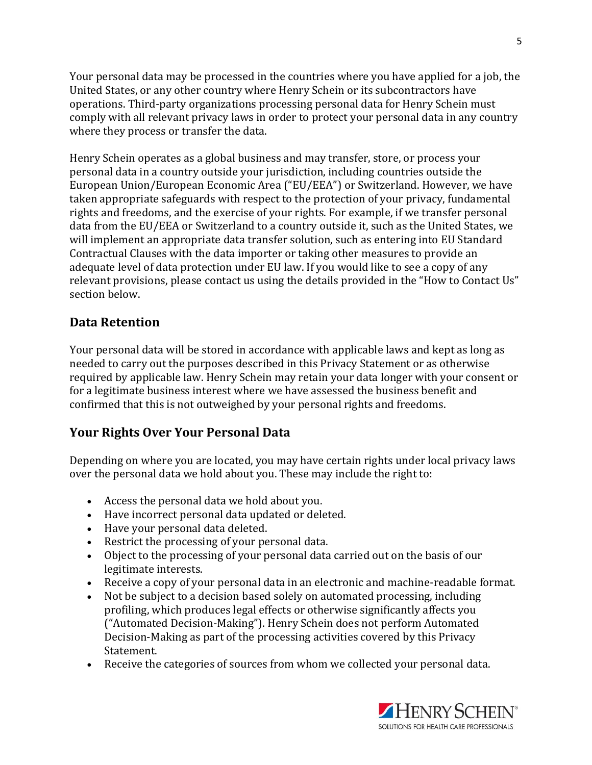<span id="page-4-0"></span>Your personal data may be processed in the countries where you have applied for a job, the United States, or any other country where Henry Schein or its subcontractors have operations. Third-party organizations processing personal data for Henry Schein must comply with all relevant privacy laws in order to protect your personal data in any country where they process or transfer the data.

Henry Schein operates as a global business and may transfer, store, or process your personal data in a country outside your jurisdiction, including countries outside the European Union/European Economic Area ("EU/EEA") or Switzerland. However, we have taken appropriate safeguards with respect to the protection of your privacy, fundamental rights and freedoms, and the exercise of your rights. For example, if we transfer personal data from the EU/EEA or Switzerland to a country outside it, such as the United States, we will implement an appropriate data transfer solution, such as entering into EU Standard Contractual Clauses with the data importer or taking other measures to provide an adequate level of data protection under EU law. If you would like to see a copy of any relevant provisions, please contact us using the details provided in the "How to Contact Us" section below.

#### **Data Retention**

Your personal data will be stored in accordance with applicable laws and kept as long as needed to carry out the purposes described in this Privacy Statement or as otherwise required by applicable law. Henry Schein may retain your data longer with your consent or for a legitimate business interest where we have assessed the business benefit and confirmed that this is not outweighed by your personal rights and freedoms.

## **Your Rights Over Your Personal Data**

Depending on where you are located, you may have certain rights under local privacy laws over the personal data we hold about you. These may include the right to:

- Access the personal data we hold about you.
- Have incorrect personal data updated or deleted.
- Have your personal data deleted.
- Restrict the processing of your personal data.
- Object to the processing of your personal data carried out on the basis of our legitimate interests.
- Receive a copy of your personal data in an electronic and machine-readable format.
- Not be subject to a decision based solely on automated processing, including profiling, which produces legal effects or otherwise significantly affects you ("Automated Decision-Making"). Henry Schein does not perform Automated Decision-Making as part of the processing activities covered by this Privacy Statement.
- Receive the categories of sources from whom we collected your personal data.

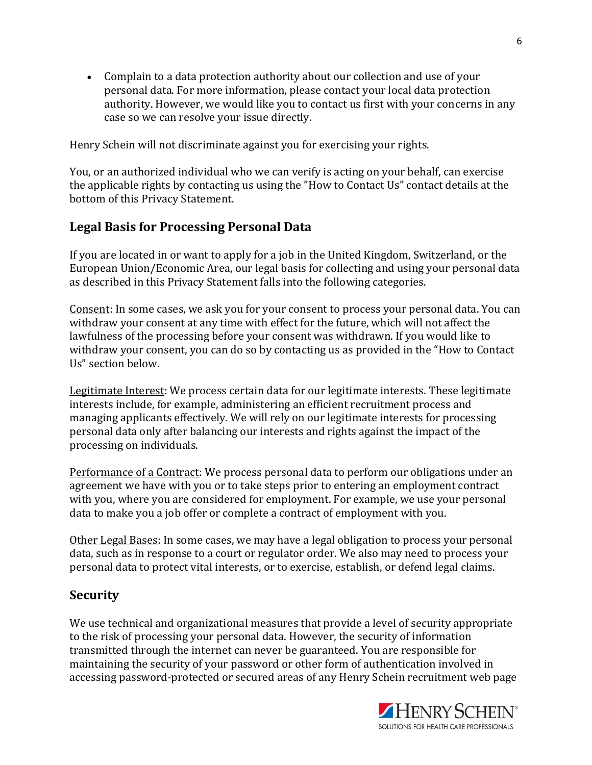<span id="page-5-0"></span>• Complain to a data protection authority about our collection and use of your personal data. For more information, please contact your local data protection authority. However, we would like you to contact us first with your concerns in any case so we can resolve your issue directly.

Henry Schein will not discriminate against you for exercising your rights.

You, or an authorized individual who we can verify is acting on your behalf, can exercise the applicable rights by contacting us using the "How to Contact Us" contact details at the bottom of this Privacy Statement.

#### **Legal Basis for Processing Personal Data**

If you are located in or want to apply for a job in the United Kingdom, Switzerland, or the European Union/Economic Area, our legal basis for collecting and using your personal data as described in this Privacy Statement falls into the following categories.

Consent: In some cases, we ask you for your consent to process your personal data. You can withdraw your consent at any time with effect for the future, which will not affect the lawfulness of the processing before your consent was withdrawn. If you would like to withdraw your consent, you can do so by contacting us as provided in the "How to Contact Us" section below.

Legitimate Interest: We process certain data for our legitimate interests. These legitimate interests include, for example, administering an efficient recruitment process and managing applicants effectively. We will rely on our legitimate interests for processing personal data only after balancing our interests and rights against the impact of the processing on individuals.

Performance of a Contract: We process personal data to perform our obligations under an agreement we have with you or to take steps prior to entering an employment contract with you, where you are considered for employment. For example, we use your personal data to make you a job offer or complete a contract of employment with you.

Other Legal Bases: In some cases, we may have a legal obligation to process your personal data, such as in response to a court or regulator order. We also may need to process your personal data to protect vital interests, or to exercise, establish, or defend legal claims.

#### **Security**

We use technical and organizational measures that provide a level of security appropriate to the risk of processing your personal data. However, the security of information transmitted through the internet can never be guaranteed. You are responsible for maintaining the security of your password or other form of authentication involved in accessing password-protected or secured areas of any Henry Schein recruitment web page

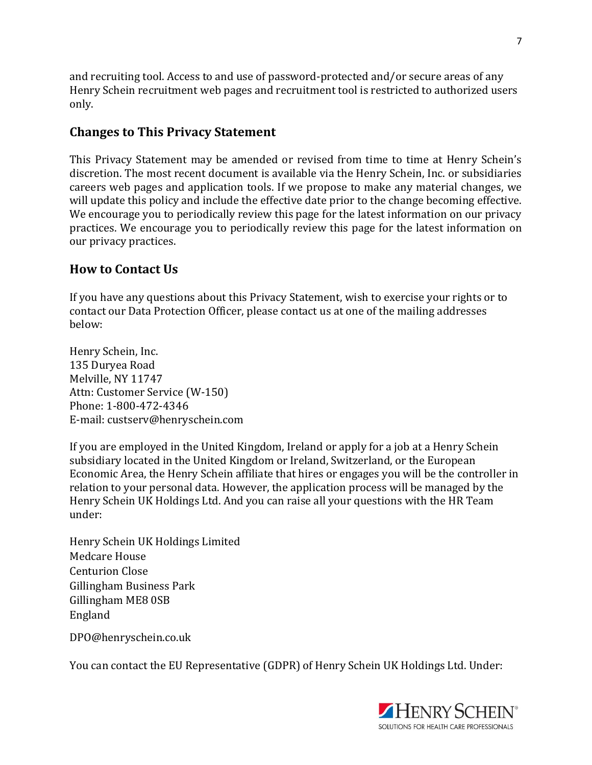<span id="page-6-0"></span>and recruiting tool. Access to and use of password-protected and/or secure areas of any Henry Schein recruitment web pages and recruitment tool is restricted to authorized users only.

## **Changes to This Privacy Statement**

This Privacy Statement may be amended or revised from time to time at Henry Schein's discretion. The most recent document is available via the Henry Schein, Inc. or subsidiaries careers web pages and application tools. If we propose to make any material changes, we will update this policy and include the effective date prior to the change becoming effective. We encourage you to periodically review this page for the latest information on our privacy practices. We encourage you to periodically review this page for the latest information on our privacy practices.

## **How to Contact Us**

If you have any questions about this Privacy Statement, wish to exercise your rights or to contact our Data Protection Officer, please contact us at one of the mailing addresses below:

Henry Schein, Inc. 135 Duryea Road Melville, NY 11747 Attn: Customer Service (W-150) Phone: 1-800-472-4346 E-mail: [custserv@henryschein.com](mailto:custserv@henryschein.com)

If you are employed in the United Kingdom, Ireland or apply for a job at a Henry Schein subsidiary located in the United Kingdom or Ireland, Switzerland, or the European Economic Area, the Henry Schein affiliate that hires or engages you will be the controller in relation to your personal data. However, the application process will be managed by the Henry Schein UK Holdings Ltd. And you can raise all your questions with the HR Team under:

Henry Schein UK Holdings Limited Medcare House Centurion Close Gillingham Business Park Gillingham ME8 0SB England

[DPO@henryschein.co.uk](mailto:DPO@henryschein.co.uk)

You can contact the EU Representative (GDPR) of Henry Schein UK Holdings Ltd. Under: